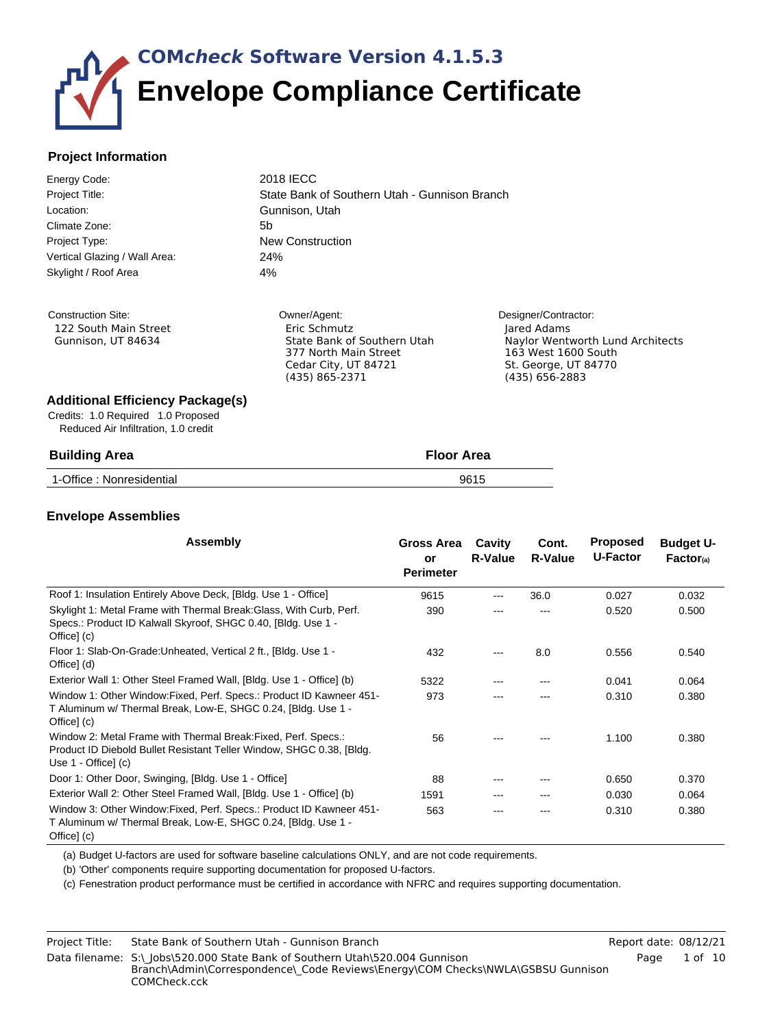# **COM***check* **Software Version 4.1.5.3 Envelope Compliance Certificate**

### **Project Information**

| Energy Code:                  | 2018 IECC                                     |
|-------------------------------|-----------------------------------------------|
| Project Title:                | State Bank of Southern Utah - Gunnison Branch |
| Location:                     | Gunnison, Utah                                |
| Climate Zone:                 | 5b                                            |
| Project Type:                 | <b>New Construction</b>                       |
| Vertical Glazing / Wall Area: | 24%                                           |
| Skylight / Roof Area          | 4%                                            |
|                               |                                               |
|                               |                                               |

Construction Site: 122 South Main Street Gunnison, UT 84634 Owner/Agent: Eric Schmutz State Bank of Southern Utah 377 North Main Street Cedar City, UT 84721 (435) 865-2371

Designer/Contractor: Jared Adams Naylor Wentworth Lund Architects 163 West 1600 South St. George, UT 84770 (435) 656-2883

#### **Additional Efficiency Package(s)**

Credits: 1.0 Required 1.0 Proposed Reduced Air Infiltration, 1.0 credit

| <b>Building Area</b>     | <b>Floor Area</b> |
|--------------------------|-------------------|
| 1-Office: Nonresidential | 9615              |

### <span id="page-0-0"></span>**Envelope Assemblies**

| <b>Assembly</b>                                                                                                                                                    | Gross Area<br>or<br><b>Perimeter</b> | Cavity<br><b>R-Value</b> | Cont.<br>R-Value | <b>Proposed</b><br>U-Factor | <b>Budget U-</b><br>Factor <sub>(a)</sub> |
|--------------------------------------------------------------------------------------------------------------------------------------------------------------------|--------------------------------------|--------------------------|------------------|-----------------------------|-------------------------------------------|
| Roof 1: Insulation Entirely Above Deck, [Bldg. Use 1 - Office]                                                                                                     | 9615                                 | ---                      | 36.0             | 0.027                       | 0.032                                     |
| Skylight 1: Metal Frame with Thermal Break: Glass, With Curb, Perf.<br>Specs.: Product ID Kalwall Skyroof, SHGC 0.40, [Bldg. Use 1 -<br>Office] (c)                | 390                                  |                          |                  | 0.520                       | 0.500                                     |
| Floor 1: Slab-On-Grade: Unheated, Vertical 2 ft., [Bldg. Use 1 -<br>Office] (d)                                                                                    | 432                                  | ---                      | 8.0              | 0.556                       | 0.540                                     |
| Exterior Wall 1: Other Steel Framed Wall, [Bldg. Use 1 - Office] (b)                                                                                               | 5322                                 |                          |                  | 0.041                       | 0.064                                     |
| Window 1: Other Window: Fixed, Perf. Specs.: Product ID Kawneer 451-<br>T Aluminum w/ Thermal Break, Low-E, SHGC 0.24, [Bldg. Use 1 -<br>Office] (c)               | 973                                  |                          |                  | 0.310                       | 0.380                                     |
| Window 2: Metal Frame with Thermal Break: Fixed, Perf. Specs.:<br>Product ID Diebold Bullet Resistant Teller Window, SHGC 0.38, [Bldg.]<br>Use $1 -$ Office] $(c)$ | 56                                   |                          |                  | 1.100                       | 0.380                                     |
| Door 1: Other Door, Swinging, [Bldg. Use 1 - Office]                                                                                                               | 88                                   |                          |                  | 0.650                       | 0.370                                     |
| Exterior Wall 2: Other Steel Framed Wall, [Bldg. Use 1 - Office] (b)                                                                                               | 1591                                 | ---                      | ---              | 0.030                       | 0.064                                     |
| Window 3: Other Window: Fixed, Perf. Specs.: Product ID Kawneer 451-<br>T Aluminum w/ Thermal Break, Low-E, SHGC 0.24, [Bldg. Use 1 -<br>Office] (c)               | 563                                  |                          |                  | 0.310                       | 0.380                                     |

(a) Budget U-factors are used for software baseline calculations ONLY, and are not code requirements.

(b) 'Other' components require supporting documentation for proposed U-factors.

(c) Fenestration product performance must be certified in accordance with NFRC and requires supporting documentation.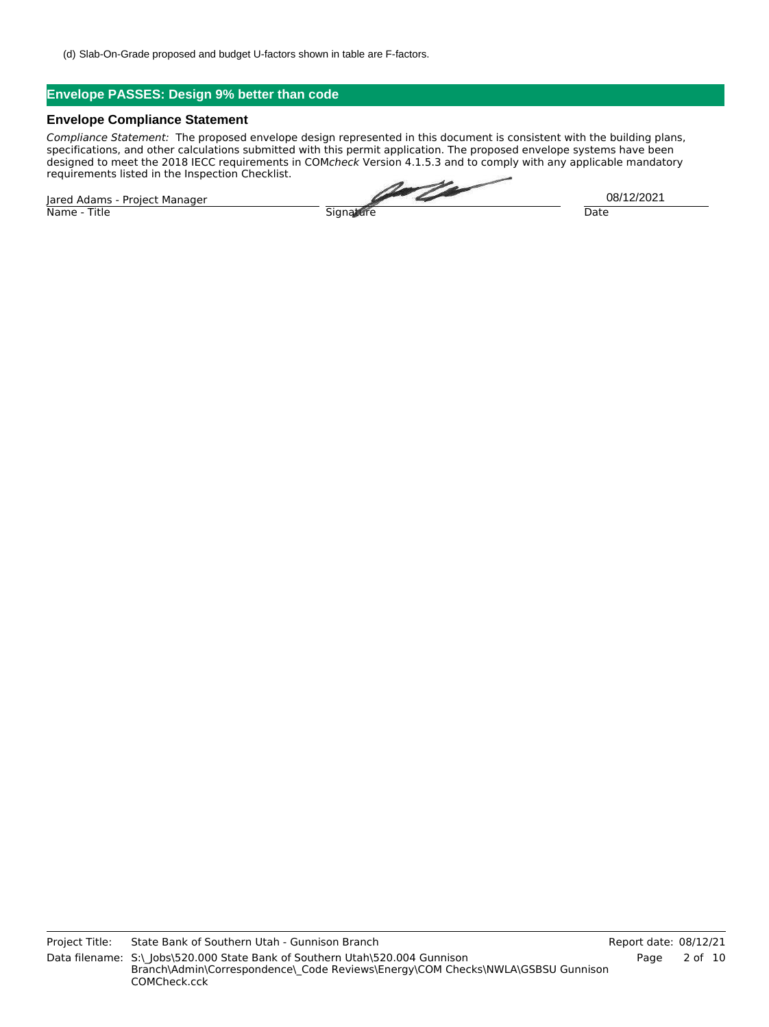(d) Slab-On-Grade proposed and budget U-factors shown in table are F-factors.

### **Envelope PASSES: Design 9% better than code**

#### **Envelope Compliance Statement**

*Compliance Statement:* The proposed envelope design represented in this document is consistent with the building plans, specifications, and other calculations submitted with this permit application. The proposed envelope systems have been designed to meet the 2018 IECC requirements in COM*check* Version 4.1.5.3 and to comply with any applicable mandatory requirements listed in the Inspection Checklist.

Jared Adams - Project Manager Name - Title Signature Date

U TA

08/12/2021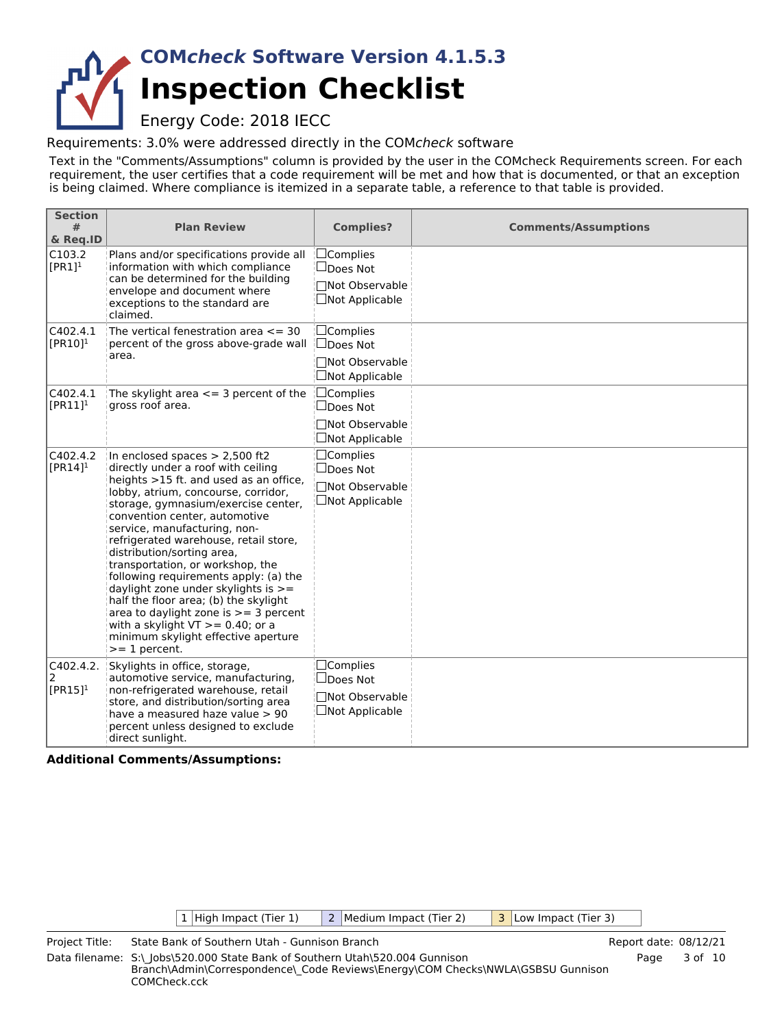## **Inspection Checklist COM***check* **Software Version 4.1.5.3**

Energy Code: 2018 IECC

Requirements: 3.0% were addressed directly in the COM*check* software

Text in the "Comments/Assumptions" column is provided by the user in the COMcheck Requirements screen. For each requirement, the user certifies that a code requirement will be met and how that is documented, or that an exception is being claimed. Where compliance is itemized in a separate table, a reference to that table is provided.

| <b>Section</b><br>#<br>& Req.ID   | <b>Plan Review</b>                                                                                                                                                                                                                                                                                                                                                                                                                                                                                                                                                                                                                             | <b>Complies?</b>                                                                     | <b>Comments/Assumptions</b> |
|-----------------------------------|------------------------------------------------------------------------------------------------------------------------------------------------------------------------------------------------------------------------------------------------------------------------------------------------------------------------------------------------------------------------------------------------------------------------------------------------------------------------------------------------------------------------------------------------------------------------------------------------------------------------------------------------|--------------------------------------------------------------------------------------|-----------------------------|
| C103.2<br>$[PR1]$ <sup>1</sup>    | Plans and/or specifications provide all<br>information with which compliance<br>can be determined for the building<br>envelope and document where<br>exceptions to the standard are<br>claimed.                                                                                                                                                                                                                                                                                                                                                                                                                                                | $\Box$ Complies<br>$\Box$ Does Not<br>□Not Observable<br>$\Box$ Not Applicable       |                             |
| C402.4.1<br>$[PR10]$ <sup>1</sup> | The vertical fenestration area $\leq$ = 30<br>percent of the gross above-grade wall<br>area.                                                                                                                                                                                                                                                                                                                                                                                                                                                                                                                                                   | $\Box$ Complies<br><b>Does Not</b><br>□Not Observable<br>$\Box$ Not Applicable       |                             |
| C402.4.1<br>$[PR11]$ <sup>1</sup> | The skylight area $\leq$ 3 percent of the<br>gross roof area.                                                                                                                                                                                                                                                                                                                                                                                                                                                                                                                                                                                  | ⊡Complies<br>$\Box$ Does Not<br>□Not Observable<br>□Not Applicable                   |                             |
| C402.4.2<br>$[PR14]$ <sup>1</sup> | In enclosed spaces $> 2,500$ ft2<br>directly under a roof with ceiling<br>heights >15 ft. and used as an office,<br>lobby, atrium, concourse, corridor,<br>storage, gymnasium/exercise center,<br>convention center, automotive<br>service, manufacturing, non-<br>refrigerated warehouse, retail store,<br>distribution/sorting area,<br>transportation, or workshop, the<br>following requirements apply: (a) the<br>daylight zone under skylights is >=<br>half the floor area; (b) the skylight<br>area to daylight zone is $>=$ 3 percent<br>with a skylight $VT$ >= 0.40; or a<br>minimum skylight effective aperture<br>$>= 1$ percent. | $\Box$ Complies<br>$\Box$ Does Not<br><b>Not Observable</b><br>$\Box$ Not Applicable |                             |
| C402.4.2.<br>2<br>$[PR15]^{1}$    | Skylights in office, storage,<br>automotive service, manufacturing,<br>non-refrigerated warehouse, retail<br>store, and distribution/sorting area<br>have a measured haze value > 90<br>percent unless designed to exclude<br>direct sunlight.                                                                                                                                                                                                                                                                                                                                                                                                 | $\Box$ Complies<br>$\Box$ Does Not<br><b>Not Observable</b><br>$\Box$ Not Applicable |                             |

**Additional Comments/Assumptions:**

 $|1|$  High Impact (Tier 1)  $|2|$  Medium Impact (Tier 2)  $|3|$  Low Impact (Tier 3)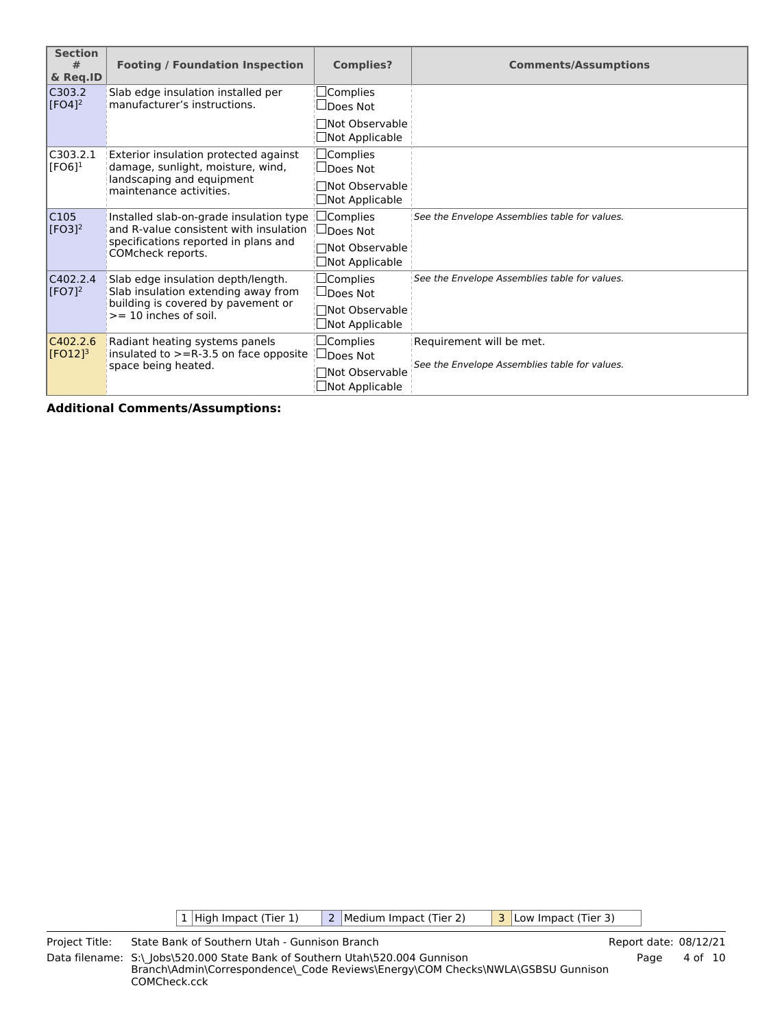| <b>Section</b><br>#<br>& Req.ID   | <b>Footing / Foundation Inspection</b>                                            | <b>Complies?</b>                               | <b>Comments/Assumptions</b>                                      |
|-----------------------------------|-----------------------------------------------------------------------------------|------------------------------------------------|------------------------------------------------------------------|
| C303.2<br>$\sqrt{[FO4]^2}$        | Slab edge insulation installed per<br>manufacturer's instructions.                | $\square$ Complies<br>$\sqcup$ Does Not        |                                                                  |
|                                   |                                                                                   | □Not Observable<br>$\Box$ Not Applicable       |                                                                  |
| C303.2.1<br>$\mathsf{[FO6]^1}$    | Exterior insulation protected against<br>damage, sunlight, moisture, wind,        |                                                |                                                                  |
|                                   | landscaping and equipment<br>maintenance activities.                              | $\Box$ Not Observable<br>$\Box$ Not Applicable |                                                                  |
| CI05<br>$[FO3]^{2}$               | Installed slab-on-grade insulation type<br>and R-value consistent with insulation | $\Box$ Complies<br>∣∐Does Not                  | See the Envelope Assemblies table for values.                    |
|                                   | specifications reported in plans and<br>COMcheck reports.                         | □Not Observable<br>$\Box$ Not Applicable       |                                                                  |
| C402.2.4<br>$[FO7]^{2}$           | Slab edge insulation depth/length.<br>Slab insulation extending away from         | $\Box$ Complies<br>$\Box$ Does Not             | See the Envelope Assemblies table for values.                    |
|                                   | building is covered by pavement or<br>$>= 10$ inches of soil.                     | □Not Observable<br>$\Box$ Not Applicable       |                                                                  |
| C402.2.6<br>$[FO12]$ <sup>3</sup> | Radiant heating systems panels<br>insulated to $>=$ R-3.5 on face opposite        | $\Box$ Complies<br>$\Box$ Does Not             | Requirement will be met.                                         |
|                                   | space being heated.                                                               |                                                | See the Envelope Assemblies table for values.<br>□Not Observable |

 $\boxed{1}$  High Impact (Tier 1)  $\boxed{2}$  Medium Impact (Tier 2)  $\boxed{3}$  Low Impact (Tier 3)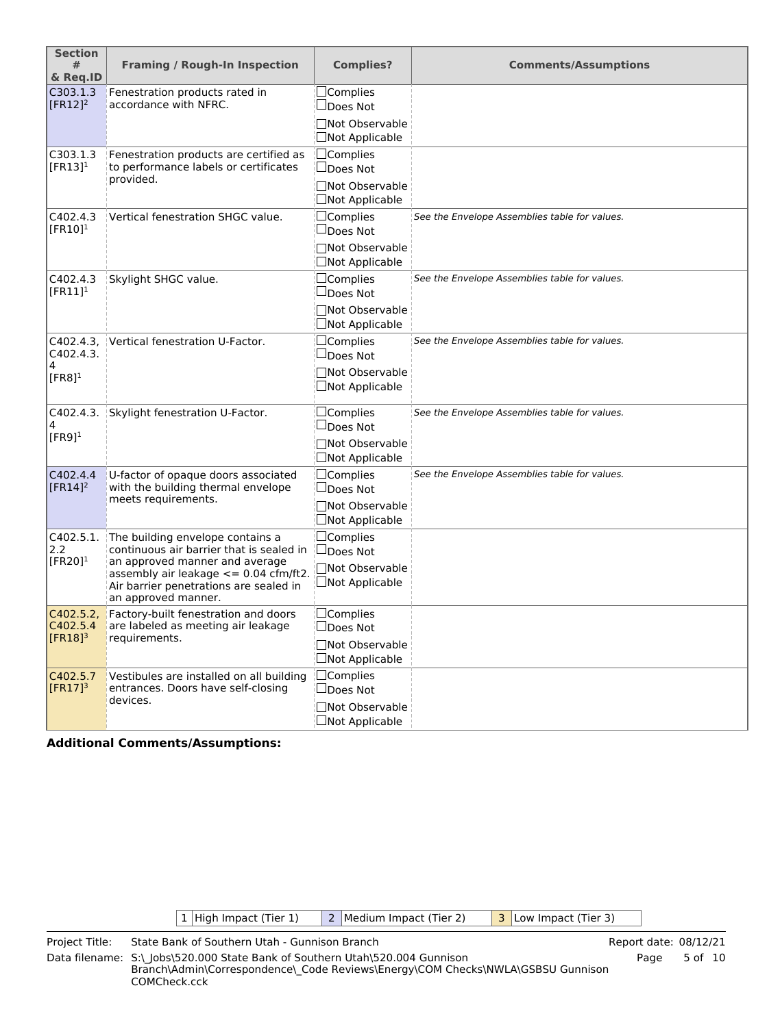| <b>Section</b><br>#<br>& Req.ID           | <b>Framing / Rough-In Inspection</b>                                                                                                          | <b>Complies?</b>                                  | <b>Comments/Assumptions</b>                   |
|-------------------------------------------|-----------------------------------------------------------------------------------------------------------------------------------------------|---------------------------------------------------|-----------------------------------------------|
| C303.1.3                                  | Fenestration products rated in<br>accordance with NFRC.                                                                                       | $\Box$ Complies                                   |                                               |
| $[FR12]^2$                                |                                                                                                                                               | $\Box$ Does Not<br>□Not Observable                |                                               |
|                                           |                                                                                                                                               | $\Box$ Not Applicable                             |                                               |
| C303.1.3                                  | Fenestration products are certified as                                                                                                        | $\Box$ Complies                                   |                                               |
| $[FR13]$ <sup>1</sup>                     | to performance labels or certificates<br>provided.                                                                                            | $\Box$ Does Not                                   |                                               |
|                                           |                                                                                                                                               | □Not Observable<br>$\Box$ Not Applicable          |                                               |
| C402.4.3<br>$[FR10]$ <sup>1</sup>         | Vertical fenestration SHGC value.                                                                                                             | $\Box$ Complies<br>$\Box$ Does Not                | See the Envelope Assemblies table for values. |
|                                           |                                                                                                                                               | $\Box$ Not Observable<br>$\square$ Not Applicable |                                               |
| C402.4.3<br>$[FR11]$ <sup>1</sup>         | Skylight SHGC value.                                                                                                                          | $\Box$ Complies<br>$\Box$ Does Not                | See the Envelope Assemblies table for values. |
|                                           |                                                                                                                                               | □Not Observable<br>$\Box$ Not Applicable          |                                               |
| C402.4.3.<br>C402.4.3.                    | Vertical fenestration U-Factor.                                                                                                               | $\Box$ Complies<br>$\Box$ Does Not                | See the Envelope Assemblies table for values. |
| 4<br>$[FR8]$ <sup>1</sup>                 |                                                                                                                                               | □Not Observable<br>$\square$ Not Applicable       |                                               |
| C402.4.3.<br>4                            | Skylight fenestration U-Factor.                                                                                                               | $\square$ Complies<br>$\Box$ Does Not             | See the Envelope Assemblies table for values. |
| $[FR9]$ <sup>1</sup>                      |                                                                                                                                               | □Not Observable<br>$\Box$ Not Applicable          |                                               |
| C402.4.4<br>$[FR14]$ <sup>2</sup>         | U-factor of opaque doors associated<br>with the building thermal envelope                                                                     | $\Box$ Complies<br>$\Box$ Does Not                | See the Envelope Assemblies table for values. |
|                                           | meets requirements.                                                                                                                           | □Not Observable<br>$\Box$ Not Applicable          |                                               |
| C402.5.1.<br>2.2<br>$[FR20]$ <sup>1</sup> | The building envelope contains a<br>continuous air barrier that is sealed in                                                                  | $\Box$ Complies<br>$\square$ Does Not             |                                               |
|                                           | an approved manner and average<br>assembly air leakage $\leq$ = 0.04 cfm/ft2<br>Air barrier penetrations are sealed in<br>an approved manner. | □Not Observable<br>$\Box$ Not Applicable          |                                               |
| C402.5.2<br>C402.5.4                      | Factory-built fenestration and doors<br>are labeled as meeting air leakage                                                                    | $\square$ Complies<br>$\square$ Does Not          |                                               |
| $[FR18]$ <sup>3</sup>                     | requirements.                                                                                                                                 | □Not Observable<br>□Not Applicable                |                                               |
| C402.5.7<br>$[FR17]$ <sup>3</sup>         | Vestibules are installed on all building<br>entrances. Doors have self-closing                                                                | $\Box$ Complies<br>$\Box$ Does Not                |                                               |
|                                           | devices.                                                                                                                                      | □Not Observable<br>□Not Applicable                |                                               |

| 1   High Impact (Tier 1) | 2   Medium Impact (Tier 2) | 3 Low Impact (Tier 3) |  |
|--------------------------|----------------------------|-----------------------|--|
|                          |                            |                       |  |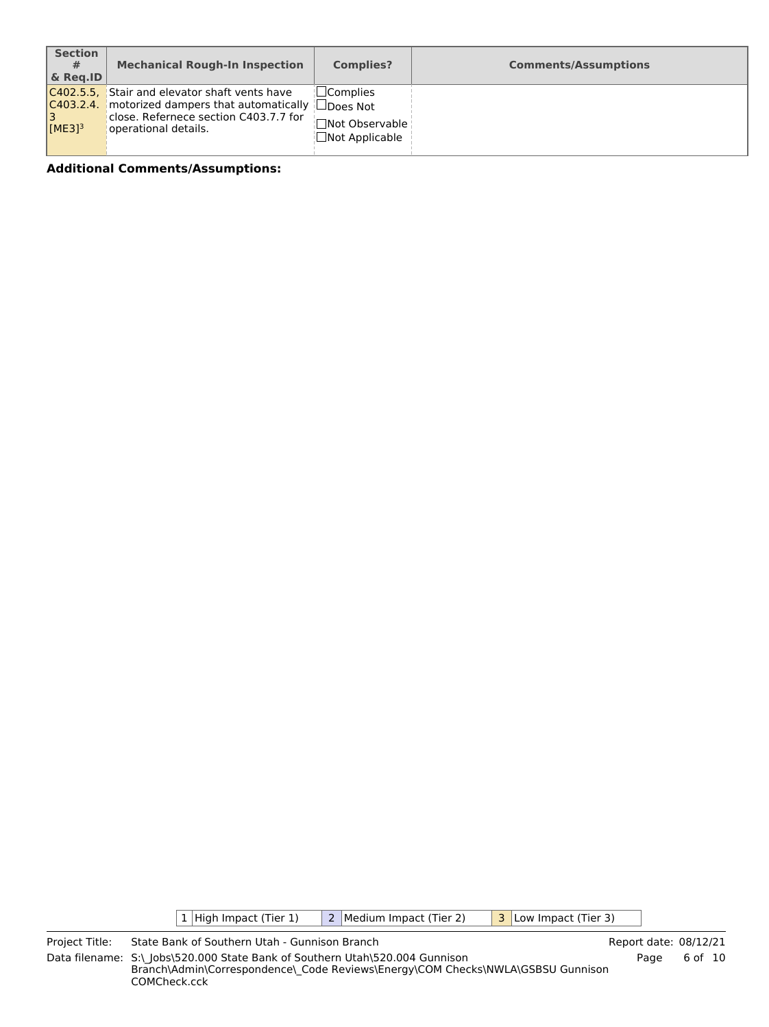| <b>Section</b><br>#<br>$\&$ Reg.ID    | <b>Mechanical Rough-In Inspection</b>                                                                                                                  | <b>Complies?</b>                                                              | <b>Comments/Assumptions</b> |
|---------------------------------------|--------------------------------------------------------------------------------------------------------------------------------------------------------|-------------------------------------------------------------------------------|-----------------------------|
| C403.2.4.<br>13<br>IME31 <sup>3</sup> | C402.5.5, Stair and elevator shaft vents have<br>motorized dampers that automatically<br>close. Refernece section C403.7.7 for<br>operational details. | $\Box$ Complies<br>$\Box$ Does Not<br>Not Observable<br>$\Box$ Not Applicable |                             |

 $\boxed{1}$  High Impact (Tier 1)  $\boxed{2}$  Medium Impact (Tier 2)  $\boxed{3}$  Low Impact (Tier 3)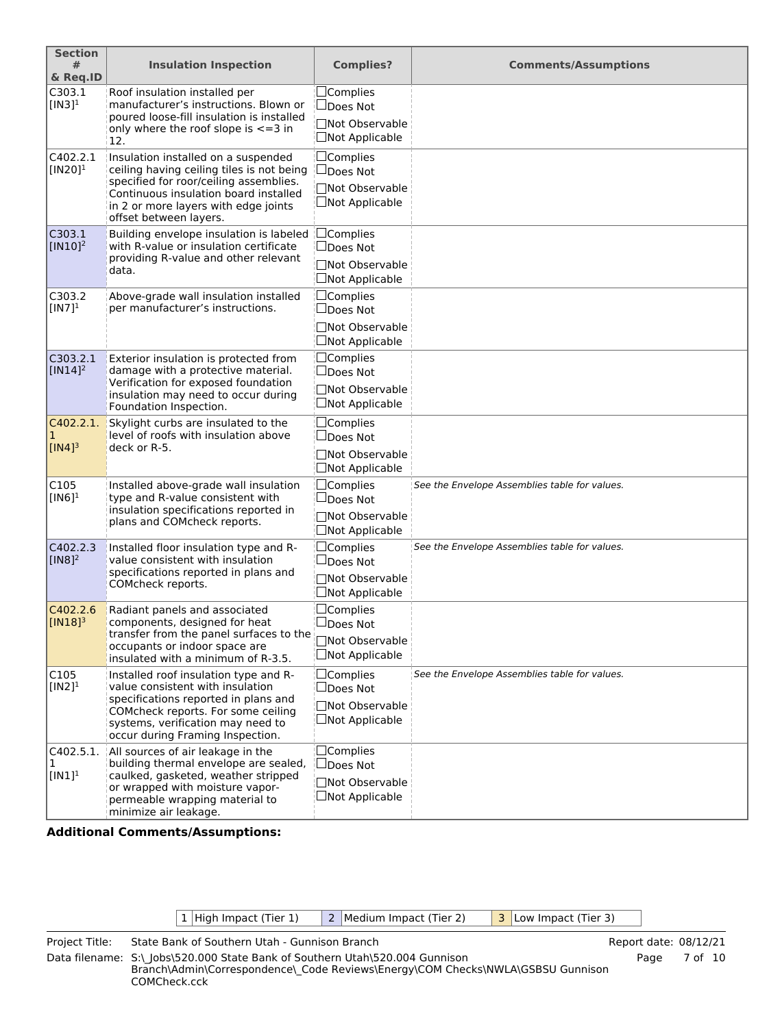| <b>Section</b><br>#                              | <b>Insulation Inspection</b>                                                                                                                                                                                                          | <b>Complies?</b>                                                               | <b>Comments/Assumptions</b>                   |
|--------------------------------------------------|---------------------------------------------------------------------------------------------------------------------------------------------------------------------------------------------------------------------------------------|--------------------------------------------------------------------------------|-----------------------------------------------|
| & Req.ID                                         |                                                                                                                                                                                                                                       |                                                                                |                                               |
| C303.1<br>$[IN3]$ <sup>1</sup>                   | Roof insulation installed per<br>manufacturer's instructions. Blown or<br>poured loose-fill insulation is installed<br>only where the roof slope is $\leq$ = 3 in<br>12.                                                              | $\Box$ Complies<br>$\Box$ Does Not<br>□Not Observable<br>□Not Applicable       |                                               |
| C402.2.1<br>$[IN20]$ <sup>1</sup>                | Insulation installed on a suspended<br>ceiling having ceiling tiles is not being<br>specified for roor/ceiling assemblies.<br>Continuous insulation board installed<br>in 2 or more layers with edge joints<br>offset between layers. | $\Box$ Complies<br>$\Box$ Does Not<br>□Not Observable<br>$\Box$ Not Applicable |                                               |
| C303.1<br>$\sqrt{\frac{[1 \text{N} 10]}{2}}$     | Building envelope insulation is labeled<br>with R-value or insulation certificate<br>providing R-value and other relevant<br>data.                                                                                                    | $\Box$ Complies<br>$\Box$ Does Not<br>□Not Observable<br>$\Box$ Not Applicable |                                               |
| C303.2<br>$[IN7]$ <sup>1</sup>                   | Above-grade wall insulation installed<br>per manufacturer's instructions.                                                                                                                                                             | $\Box$ Complies<br>$\Box$ Does Not<br>□Not Observable<br>$\Box$ Not Applicable |                                               |
| C303.2.1<br>$\sqrt{\frac{N14}{^2}}$              | Exterior insulation is protected from<br>damage with a protective material.<br>Verification for exposed foundation<br>insulation may need to occur during<br>Foundation Inspection.                                                   | $\Box$ Complies<br>$\Box$ Does Not<br>□Not Observable<br>$\Box$ Not Applicable |                                               |
| C402.2.1.<br>$\mathbf 1$<br>$[IN4]$ <sup>3</sup> | Skylight curbs are insulated to the<br>level of roofs with insulation above<br>deck or R-5.                                                                                                                                           | $\Box$ Complies<br>$\Box$ Does Not<br>□Not Observable<br>□Not Applicable       |                                               |
| C105<br>$[IN6]$ <sup>1</sup>                     | Installed above-grade wall insulation<br>type and R-value consistent with<br>insulation specifications reported in<br>plans and COMcheck reports.                                                                                     | $\Box$ Complies<br>$\Box$ Does Not<br>□Not Observable<br>□Not Applicable       | See the Envelope Assemblies table for values. |
| C402.2.3<br>$[IN8]$ <sup>2</sup>                 | Installed floor insulation type and R-<br>value consistent with insulation<br>specifications reported in plans and<br>COMcheck reports.                                                                                               | $\Box$ Complies<br>$\Box$ Does Not<br>□Not Observable<br>□Not Applicable       | See the Envelope Assemblies table for values. |
| C402.2.6<br>$\vert$ [IN18] <sup>3</sup>          | Radiant panels and associated<br>components, designed for heat<br>transfer from the panel surfaces to the<br>occupants or indoor space are<br>insulated with a minimum of R-3.5.                                                      | $\Box$ Complies<br>□Does Not<br>□Not Observable<br>$\Box$ Not Applicable       |                                               |
| C105<br>$[IN2]$ <sup>1</sup>                     | Installed roof insulation type and R-<br>value consistent with insulation<br>specifications reported in plans and<br>COMcheck reports. For some ceiling<br>systems, verification may need to<br>occur during Framing Inspection.      | $\Box$ Complies<br>$\Box$ Does Not<br>□Not Observable<br>□Not Applicable       | See the Envelope Assemblies table for values. |
| C402.5.1.<br>1<br>$[IN1]$ <sup>1</sup>           | All sources of air leakage in the<br>building thermal envelope are sealed,<br>caulked, gasketed, weather stripped<br>or wrapped with moisture vapor-<br>permeable wrapping material to<br>minimize air leakage.                       | $\Box$ Complies<br>$\Box$ Does Not<br>□Not Observable<br>$\Box$ Not Applicable |                                               |

| 1   High Impact (Tier 1) | 2 Medium Impact (Tier 2) | $\vert$ 3 Low Impact (Tier 3) |
|--------------------------|--------------------------|-------------------------------|
|                          |                          |                               |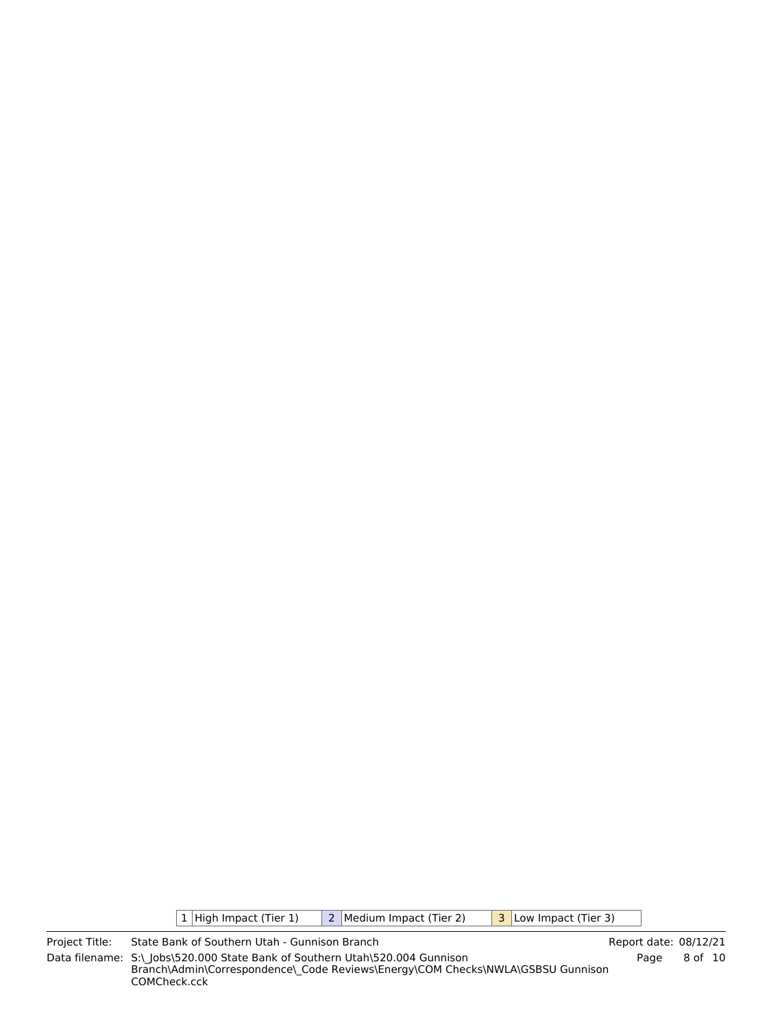$\boxed{1}$  High Impact (Tier 1)  $\boxed{2}$  Medium Impact (Tier 2)  $\boxed{3}$  Low Impact (Tier 3)